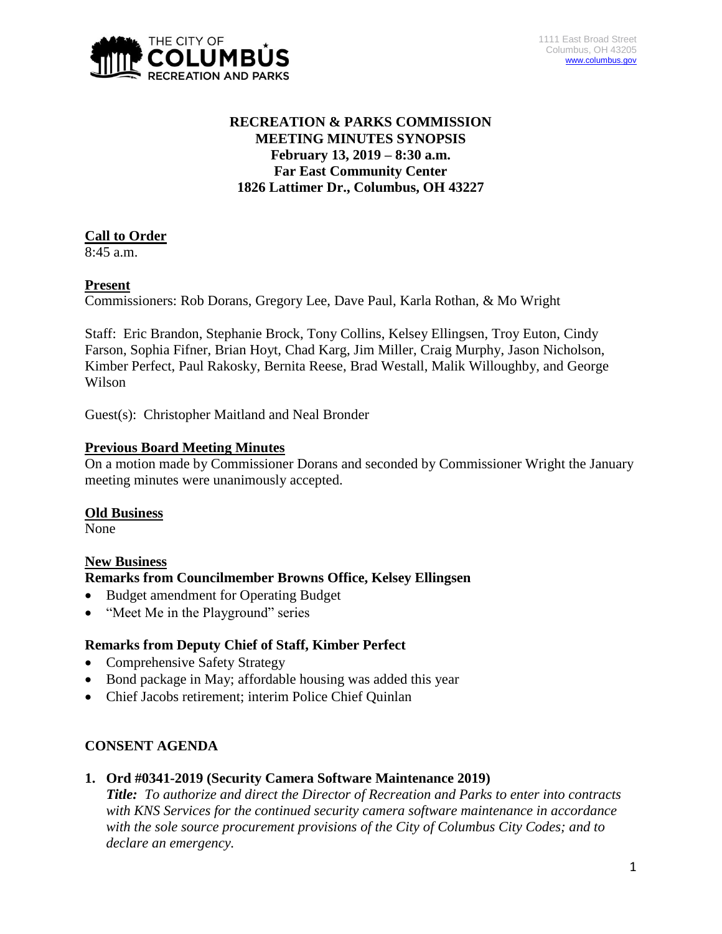

# **RECREATION & PARKS COMMISSION MEETING MINUTES SYNOPSIS February 13, 2019 – 8:30 a.m. Far East Community Center 1826 Lattimer Dr., Columbus, OH 43227**

# **Call to Order**

8:45 a.m.

## **Present**

Commissioners: Rob Dorans, Gregory Lee, Dave Paul, Karla Rothan, & Mo Wright

Staff: Eric Brandon, Stephanie Brock, Tony Collins, Kelsey Ellingsen, Troy Euton, Cindy Farson, Sophia Fifner, Brian Hoyt, Chad Karg, Jim Miller, Craig Murphy, Jason Nicholson, Kimber Perfect, Paul Rakosky, Bernita Reese, Brad Westall, Malik Willoughby, and George Wilson

Guest(s): Christopher Maitland and Neal Bronder

## **Previous Board Meeting Minutes**

On a motion made by Commissioner Dorans and seconded by Commissioner Wright the January meeting minutes were unanimously accepted.

### **Old Business**

None

# **New Business**

### **Remarks from Councilmember Browns Office, Kelsey Ellingsen**

- Budget amendment for Operating Budget
- "Meet Me in the Playground" series

# **Remarks from Deputy Chief of Staff, Kimber Perfect**

- Comprehensive Safety Strategy
- Bond package in May; affordable housing was added this year
- Chief Jacobs retirement; interim Police Chief Quinlan

# **CONSENT AGENDA**

### **1. Ord #0341-2019 (Security Camera Software Maintenance 2019)**

*Title: To authorize and direct the Director of Recreation and Parks to enter into contracts with KNS Services for the continued security camera software maintenance in accordance with the sole source procurement provisions of the City of Columbus City Codes; and to declare an emergency.*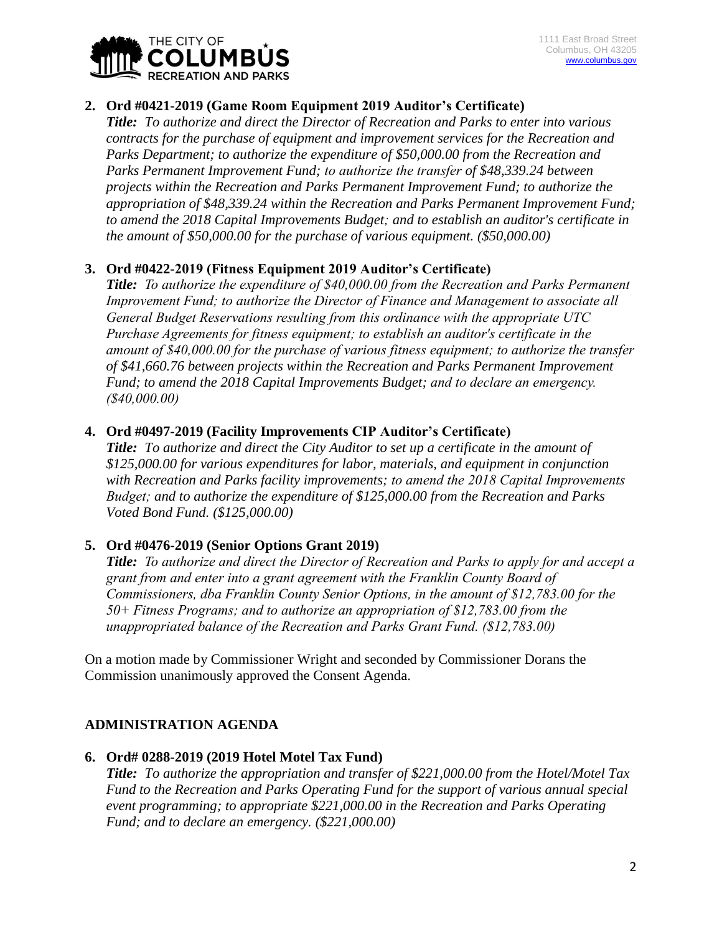

# **2. Ord #0421-2019 (Game Room Equipment 2019 Auditor's Certificate)**

*Title: To authorize and direct the Director of Recreation and Parks to enter into various contracts for the purchase of equipment and improvement services for the Recreation and Parks Department; to authorize the expenditure of \$50,000.00 from the Recreation and Parks Permanent Improvement Fund; to authorize the transfer of \$48,339.24 between projects within the Recreation and Parks Permanent Improvement Fund; to authorize the appropriation of \$48,339.24 within the Recreation and Parks Permanent Improvement Fund; to amend the 2018 Capital Improvements Budget; and to establish an auditor's certificate in the amount of \$50,000.00 for the purchase of various equipment. (\$50,000.00)*

## **3. Ord #0422-2019 (Fitness Equipment 2019 Auditor's Certificate)**

*Title: To authorize the expenditure of \$40,000.00 from the Recreation and Parks Permanent Improvement Fund; to authorize the Director of Finance and Management to associate all General Budget Reservations resulting from this ordinance with the appropriate UTC Purchase Agreements for fitness equipment; to establish an auditor's certificate in the amount of \$40,000.00 for the purchase of various fitness equipment; to authorize the transfer of \$41,660.76 between projects within the Recreation and Parks Permanent Improvement Fund; to amend the 2018 Capital Improvements Budget; and to declare an emergency. (\$40,000.00)*

## **4. Ord #0497-2019 (Facility Improvements CIP Auditor's Certificate)**

*Title: To authorize and direct the City Auditor to set up a certificate in the amount of \$125,000.00 for various expenditures for labor, materials, and equipment in conjunction with Recreation and Parks facility improvements; to amend the 2018 Capital Improvements Budget; and to authorize the expenditure of \$125,000.00 from the Recreation and Parks Voted Bond Fund. (\$125,000.00)*

### **5. Ord #0476-2019 (Senior Options Grant 2019)**

*Title: To authorize and direct the Director of Recreation and Parks to apply for and accept a grant from and enter into a grant agreement with the Franklin County Board of Commissioners, dba Franklin County Senior Options, in the amount of \$12,783.00 for the 50+ Fitness Programs; and to authorize an appropriation of \$12,783.00 from the unappropriated balance of the Recreation and Parks Grant Fund. (\$12,783.00)*

On a motion made by Commissioner Wright and seconded by Commissioner Dorans the Commission unanimously approved the Consent Agenda.

# **ADMINISTRATION AGENDA**

### **6. Ord# 0288-2019 (2019 Hotel Motel Tax Fund)**

*Title: To authorize the appropriation and transfer of \$221,000.00 from the Hotel/Motel Tax Fund to the Recreation and Parks Operating Fund for the support of various annual special event programming; to appropriate \$221,000.00 in the Recreation and Parks Operating Fund; and to declare an emergency. (\$221,000.00)*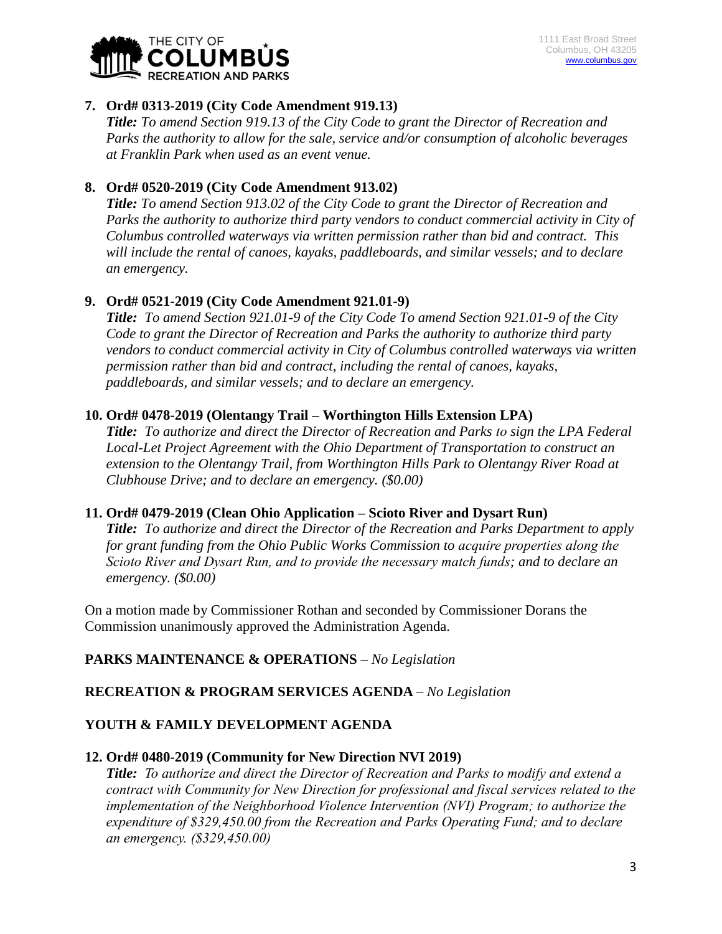

## **7. Ord# 0313-2019 (City Code Amendment 919.13)**

*Title: To amend Section 919.13 of the City Code to grant the Director of Recreation and Parks the authority to allow for the sale, service and/or consumption of alcoholic beverages at Franklin Park when used as an event venue.* 

## **8. Ord# 0520-2019 (City Code Amendment 913.02)**

*Title: To amend Section 913.02 of the City Code to grant the Director of Recreation and Parks the authority to authorize third party vendors to conduct commercial activity in City of Columbus controlled waterways via written permission rather than bid and contract. This will include the rental of canoes, kayaks, paddleboards, and similar vessels; and to declare an emergency.*

# **9. Ord# 0521-2019 (City Code Amendment 921.01-9)**

*Title: To amend Section 921.01-9 of the City Code To amend Section 921.01-9 of the City Code to grant the Director of Recreation and Parks the authority to authorize third party vendors to conduct commercial activity in City of Columbus controlled waterways via written permission rather than bid and contract, including the rental of canoes, kayaks, paddleboards, and similar vessels; and to declare an emergency.*

## **10. Ord# 0478-2019 (Olentangy Trail – Worthington Hills Extension LPA)**

*Title: To authorize and direct the Director of Recreation and Parks to sign the LPA Federal Local-Let Project Agreement with the Ohio Department of Transportation to construct an extension to the Olentangy Trail, from Worthington Hills Park to Olentangy River Road at Clubhouse Drive; and to declare an emergency. (\$0.00)*

### **11. Ord# 0479-2019 (Clean Ohio Application – Scioto River and Dysart Run)**

*Title: To authorize and direct the Director of the Recreation and Parks Department to apply for grant funding from the Ohio Public Works Commission to acquire properties along the Scioto River and Dysart Run, and to provide the necessary match funds; and to declare an emergency. (\$0.00)*

On a motion made by Commissioner Rothan and seconded by Commissioner Dorans the Commission unanimously approved the Administration Agenda.

# **PARKS MAINTENANCE & OPERATIONS** *– No Legislation*

# **RECREATION & PROGRAM SERVICES AGENDA** *– No Legislation*

### **YOUTH & FAMILY DEVELOPMENT AGENDA**

### **12. Ord# 0480-2019 (Community for New Direction NVI 2019)**

*Title: To authorize and direct the Director of Recreation and Parks to modify and extend a contract with Community for New Direction for professional and fiscal services related to the implementation of the Neighborhood Violence Intervention (NVI) Program; to authorize the expenditure of \$329,450.00 from the Recreation and Parks Operating Fund; and to declare an emergency. (\$329,450.00)*